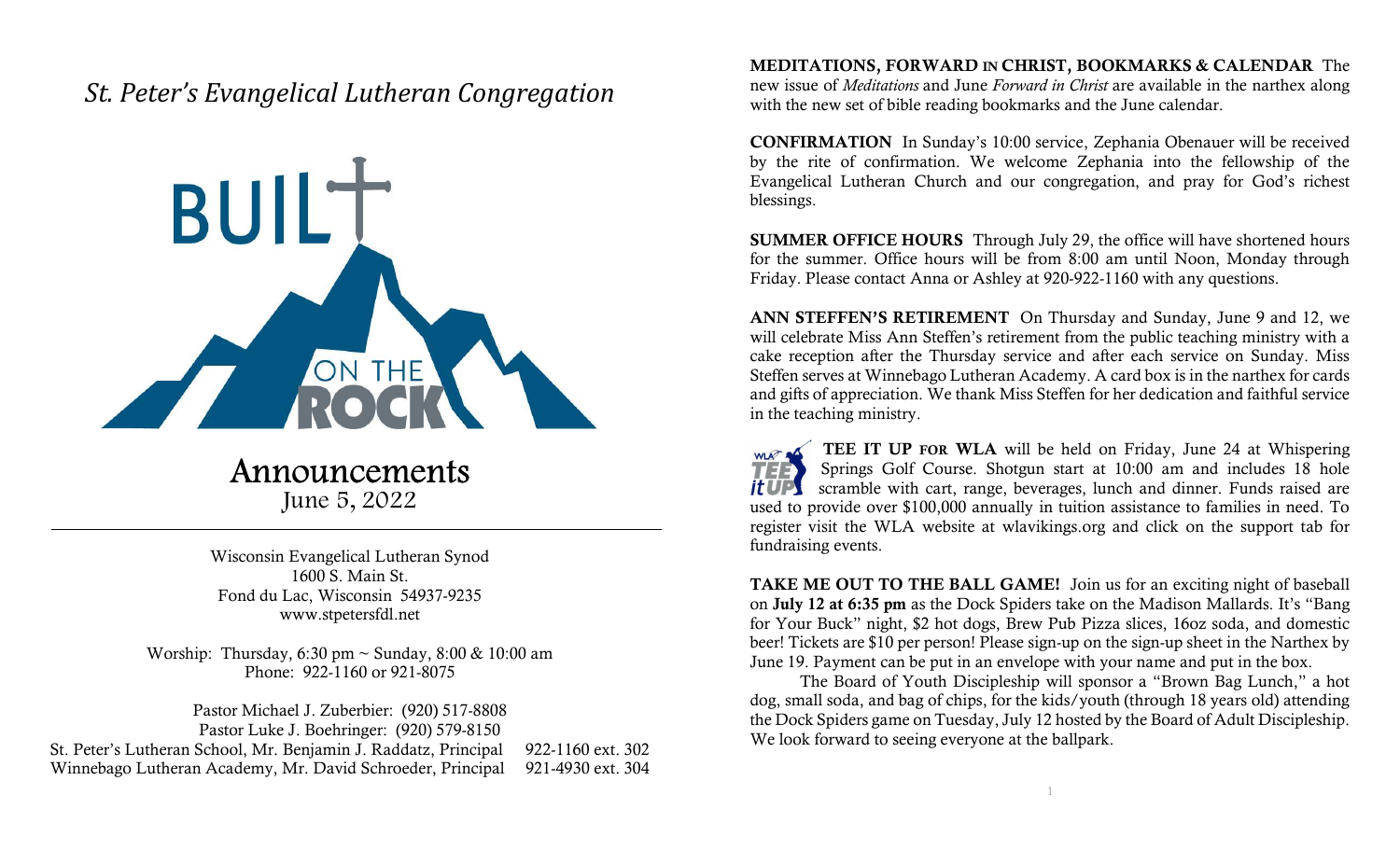## St. Peter's Evangelical Lutheran Congregation



## Announcements

June 5, 2022

Wisconsin Evangelical Lutheran Synod 1600 S. Main St. Fond du Lac, Wisconsin 54937-9235 www.stpetersfdl.net

Worship: Thursday, 6:30 pm ~ Sunday, 8:00 & 10:00 am Phone: 922-1160 or 921-8075

Pastor Michael J. Zuberbier: (920) 517-8808 Pastor Luke J. Boehringer: (920) 579-8150 St. Peter's Lutheran School, Mr. Benjamin J. Raddatz, Principal 922-1160 ext. 302 Winnebago Lutheran Academy, Mr. David Schroeder, Principal 921-4930 ext. 304 MEDITATIONS, FORWARD IN CHRIST, BOOKMARKS & CALENDAR The new issue of Meditations and June Forward in Christ are available in the narthex along with the new set of bible reading bookmarks and the June calendar.

CONFIRMATION In Sunday's 10:00 service, Zephania Obenauer will be received by the rite of confirmation. We welcome Zephania into the fellowship of the Evangelical Lutheran Church and our congregation, and pray for God's richest blessings.

SUMMER OFFICE HOURS Through July 29, the office will have shortened hours for the summer. Office hours will be from 8:00 am until Noon, Monday through Friday. Please contact Anna or Ashley at 920-922-1160 with any questions.

ANN STEFFEN'S RETIREMENT On Thursday and Sunday, June 9 and 12, we will celebrate Miss Ann Steffen's retirement from the public teaching ministry with a cake reception after the Thursday service and after each service on Sunday. Miss Steffen serves at Winnebago Lutheran Academy. A card box is in the narthex for cards and gifts of appreciation. We thank Miss Steffen for her dedication and faithful service in the teaching ministry.

WLAT A TEE IT UP FOR WLA will be held on Friday, June 24 at Whispering Springs Golf Course. Shotgun start at 10:00 am and includes 18 hole scramble with cart, range, beverages, lunch and dinner. Funds raised are it UPS used to provide over \$100,000 annually in tuition assistance to families in need. To register visit the WLA website at wlavikings.org and click on the support tab for fundraising events.

TAKE ME OUT TO THE BALL GAME! Join us for an exciting night of baseball on July 12 at 6:35 pm as the Dock Spiders take on the Madison Mallards. It's "Bang for Your Buck" night, \$2 hot dogs, Brew Pub Pizza slices, 16oz soda, and domestic beer! Tickets are \$10 per person! Please sign-up on the sign-up sheet in the Narthex by June 19. Payment can be put in an envelope with your name and put in the box.

 The Board of Youth Discipleship will sponsor a "Brown Bag Lunch," a hot dog, small soda, and bag of chips, for the kids/youth (through 18 years old) attending the Dock Spiders game on Tuesday, July 12 hosted by the Board of Adult Discipleship. We look forward to seeing everyone at the ballpark.